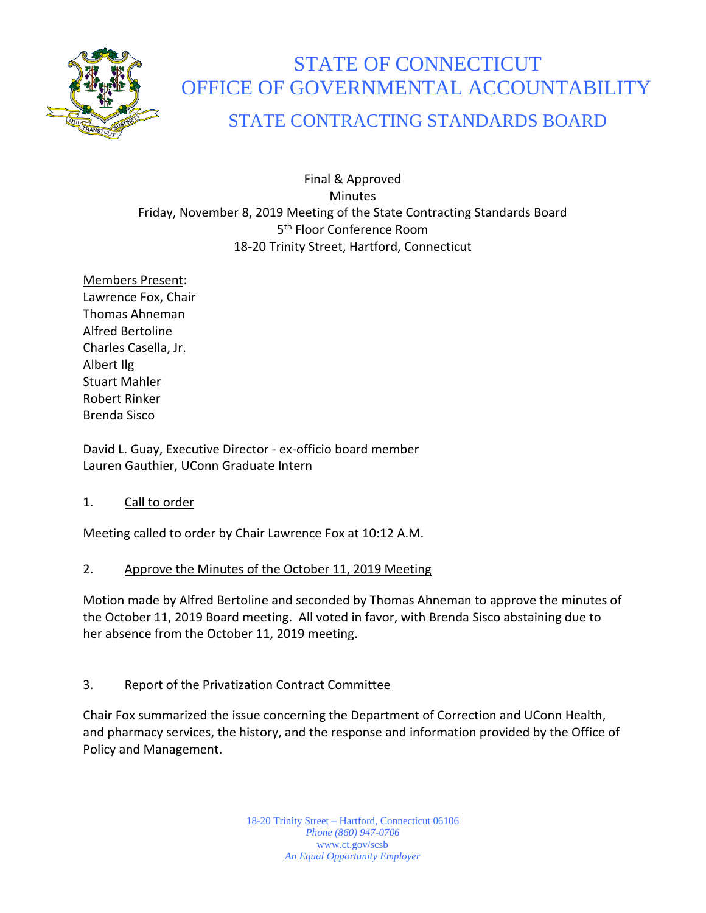

# STATE OF CONNECTICUT OFFICE OF GOVERNMENTAL ACCOUNTABILITY

# STATE CONTRACTING STANDARDS BOARD

Final & Approved **Minutes** Friday, November 8, 2019 Meeting of the State Contracting Standards Board 5<sup>th</sup> Floor Conference Room 18-20 Trinity Street, Hartford, Connecticut

Members Present: Lawrence Fox, Chair Thomas Ahneman Alfred Bertoline Charles Casella, Jr. Albert Ilg Stuart Mahler Robert Rinker Brenda Sisco

David L. Guay, Executive Director - ex-officio board member Lauren Gauthier, UConn Graduate Intern

# 1. Call to order

Meeting called to order by Chair Lawrence Fox at 10:12 A.M.

# 2. Approve the Minutes of the October 11, 2019 Meeting

Motion made by Alfred Bertoline and seconded by Thomas Ahneman to approve the minutes of the October 11, 2019 Board meeting. All voted in favor, with Brenda Sisco abstaining due to her absence from the October 11, 2019 meeting.

#### 3. Report of the Privatization Contract Committee

Chair Fox summarized the issue concerning the Department of Correction and UConn Health, and pharmacy services, the history, and the response and information provided by the Office of Policy and Management.

> 18-20 Trinity Street – Hartford, Connecticut 06106 *Phone (860) 947-0706*  www.ct.gov/scsb *An Equal Opportunity Employer*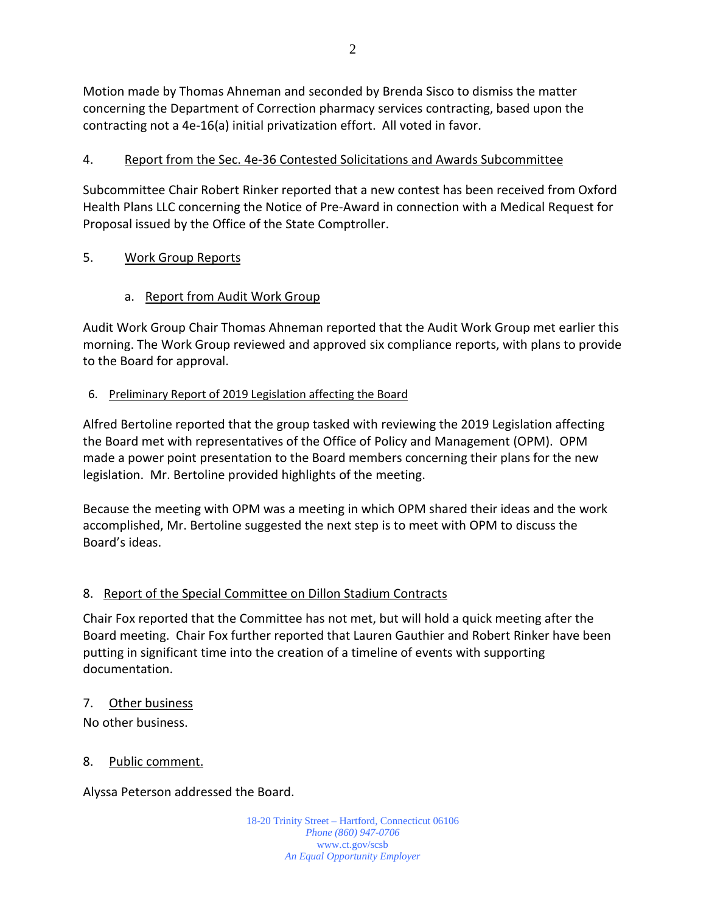Motion made by Thomas Ahneman and seconded by Brenda Sisco to dismiss the matter concerning the Department of Correction pharmacy services contracting, based upon the contracting not a 4e-16(a) initial privatization effort. All voted in favor.

## 4. Report from the Sec. 4e-36 Contested Solicitations and Awards Subcommittee

Subcommittee Chair Robert Rinker reported that a new contest has been received from Oxford Health Plans LLC concerning the Notice of Pre-Award in connection with a Medical Request for Proposal issued by the Office of the State Comptroller.

### 5. Work Group Reports

### a. Report from Audit Work Group

Audit Work Group Chair Thomas Ahneman reported that the Audit Work Group met earlier this morning. The Work Group reviewed and approved six compliance reports, with plans to provide to the Board for approval.

#### 6. Preliminary Report of 2019 Legislation affecting the Board

Alfred Bertoline reported that the group tasked with reviewing the 2019 Legislation affecting the Board met with representatives of the Office of Policy and Management (OPM). OPM made a power point presentation to the Board members concerning their plans for the new legislation. Mr. Bertoline provided highlights of the meeting.

Because the meeting with OPM was a meeting in which OPM shared their ideas and the work accomplished, Mr. Bertoline suggested the next step is to meet with OPM to discuss the Board's ideas.

# 8. Report of the Special Committee on Dillon Stadium Contracts

Chair Fox reported that the Committee has not met, but will hold a quick meeting after the Board meeting. Chair Fox further reported that Lauren Gauthier and Robert Rinker have been putting in significant time into the creation of a timeline of events with supporting documentation.

#### 7. Other business

No other business.

#### 8. Public comment.

Alyssa Peterson addressed the Board.

18-20 Trinity Street – Hartford, Connecticut 06106 *Phone (860) 947-0706*  www.ct.gov/scsb *An Equal Opportunity Employer*